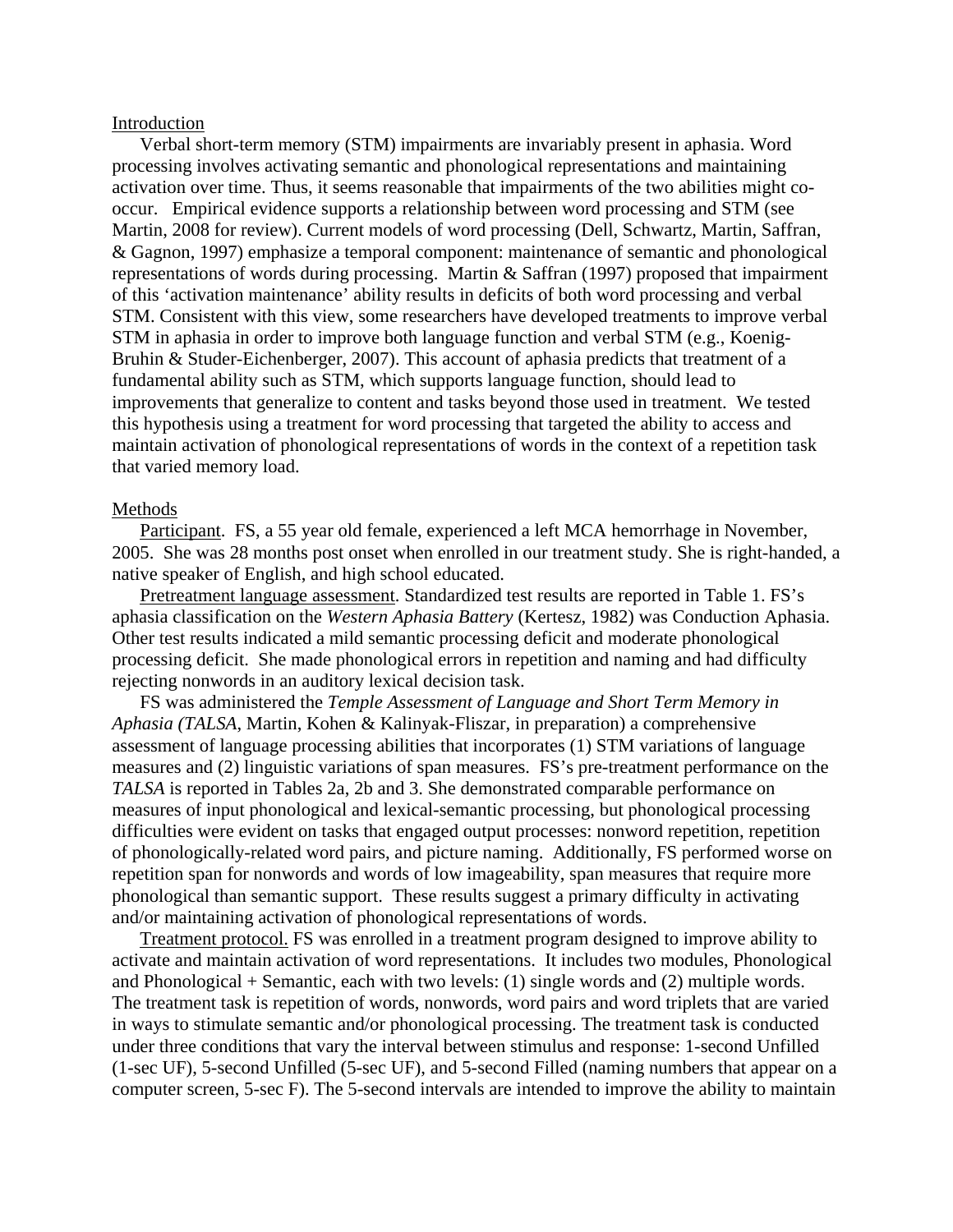#### Introduction

 Verbal short-term memory (STM) impairments are invariably present in aphasia. Word processing involves activating semantic and phonological representations and maintaining activation over time. Thus, it seems reasonable that impairments of the two abilities might cooccur. Empirical evidence supports a relationship between word processing and STM (see Martin, 2008 for review). Current models of word processing (Dell, Schwartz, Martin, Saffran, & Gagnon, 1997) emphasize a temporal component: maintenance of semantic and phonological representations of words during processing. Martin & Saffran (1997) proposed that impairment of this 'activation maintenance' ability results in deficits of both word processing and verbal STM. Consistent with this view, some researchers have developed treatments to improve verbal STM in aphasia in order to improve both language function and verbal STM (e.g., Koenig-Bruhin & Studer-Eichenberger, 2007). This account of aphasia predicts that treatment of a fundamental ability such as STM, which supports language function, should lead to improvements that generalize to content and tasks beyond those used in treatment. We tested this hypothesis using a treatment for word processing that targeted the ability to access and maintain activation of phonological representations of words in the context of a repetition task that varied memory load.

#### Methods

Participant. FS, a 55 year old female, experienced a left MCA hemorrhage in November, 2005. She was 28 months post onset when enrolled in our treatment study. She is right-handed, a native speaker of English, and high school educated.

Pretreatment language assessment. Standardized test results are reported in Table 1. FS's aphasia classification on the *Western Aphasia Battery* (Kertesz, 1982) was Conduction Aphasia. Other test results indicated a mild semantic processing deficit and moderate phonological processing deficit. She made phonological errors in repetition and naming and had difficulty rejecting nonwords in an auditory lexical decision task.

 FS was administered the *Temple Assessment of Language and Short Term Memory in Aphasia (TALSA*, Martin, Kohen & Kalinyak-Fliszar, in preparation) a comprehensive assessment of language processing abilities that incorporates (1) STM variations of language measures and (2) linguistic variations of span measures. FS's pre-treatment performance on the *TALSA* is reported in Tables 2a, 2b and 3. She demonstrated comparable performance on measures of input phonological and lexical-semantic processing, but phonological processing difficulties were evident on tasks that engaged output processes: nonword repetition, repetition of phonologically-related word pairs, and picture naming. Additionally, FS performed worse on repetition span for nonwords and words of low imageability, span measures that require more phonological than semantic support. These results suggest a primary difficulty in activating and/or maintaining activation of phonological representations of words.

Treatment protocol. FS was enrolled in a treatment program designed to improve ability to activate and maintain activation of word representations. It includes two modules, Phonological and Phonological + Semantic, each with two levels: (1) single words and (2) multiple words. The treatment task is repetition of words, nonwords, word pairs and word triplets that are varied in ways to stimulate semantic and/or phonological processing. The treatment task is conducted under three conditions that vary the interval between stimulus and response: 1-second Unfilled (1-sec UF), 5-second Unfilled (5-sec UF), and 5-second Filled (naming numbers that appear on a computer screen, 5-sec F). The 5-second intervals are intended to improve the ability to maintain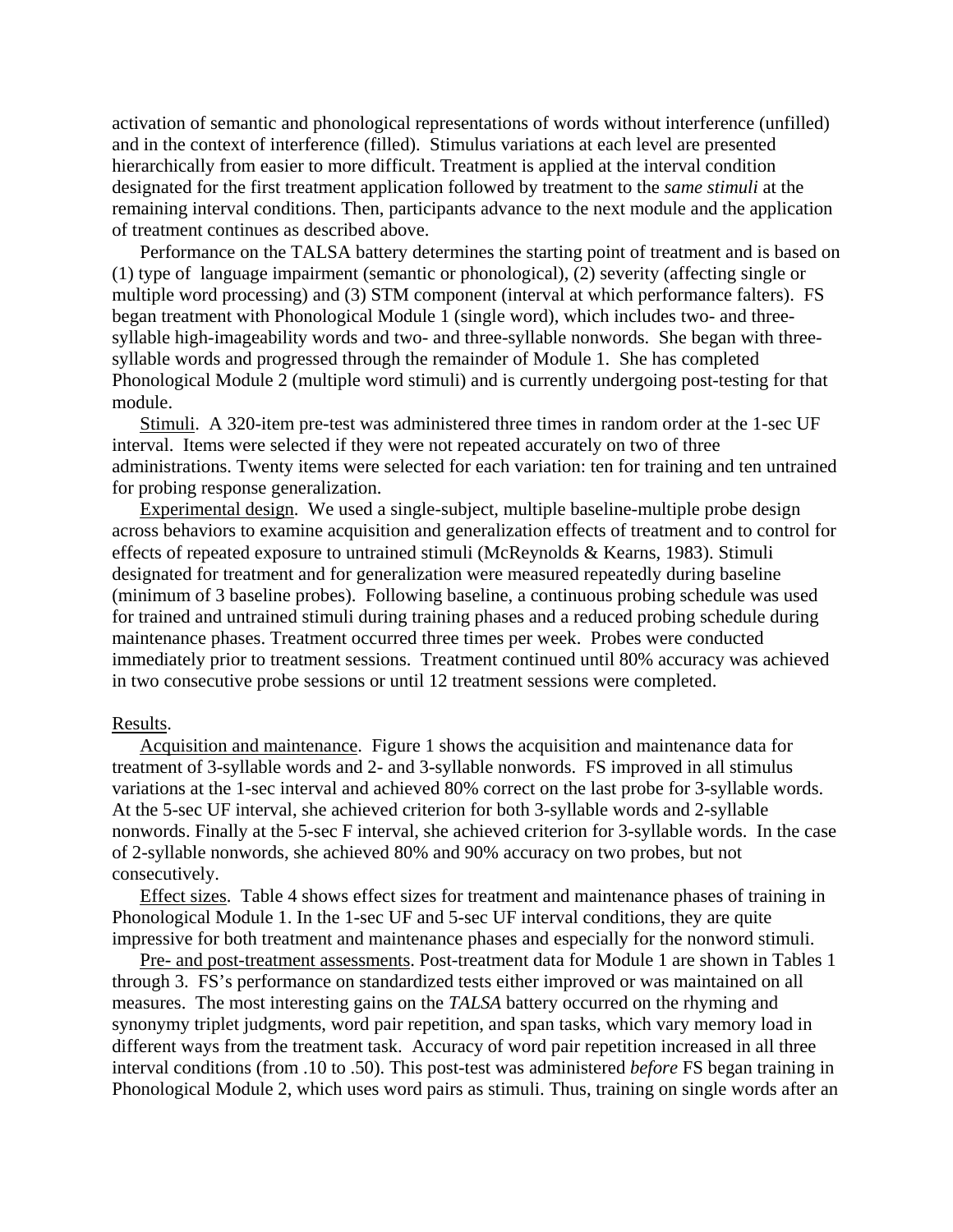activation of semantic and phonological representations of words without interference (unfilled) and in the context of interference (filled). Stimulus variations at each level are presented hierarchically from easier to more difficult. Treatment is applied at the interval condition designated for the first treatment application followed by treatment to the *same stimuli* at the remaining interval conditions. Then, participants advance to the next module and the application of treatment continues as described above.

Performance on the TALSA battery determines the starting point of treatment and is based on (1) type of language impairment (semantic or phonological), (2) severity (affecting single or multiple word processing) and (3) STM component (interval at which performance falters). FS began treatment with Phonological Module 1 (single word), which includes two- and threesyllable high-imageability words and two- and three-syllable nonwords. She began with threesyllable words and progressed through the remainder of Module 1. She has completed Phonological Module 2 (multiple word stimuli) and is currently undergoing post-testing for that module.

Stimuli. A 320-item pre-test was administered three times in random order at the 1-sec UF interval. Items were selected if they were not repeated accurately on two of three administrations. Twenty items were selected for each variation: ten for training and ten untrained for probing response generalization.

Experimental design. We used a single-subject, multiple baseline-multiple probe design across behaviors to examine acquisition and generalization effects of treatment and to control for effects of repeated exposure to untrained stimuli (McReynolds & Kearns, 1983). Stimuli designated for treatment and for generalization were measured repeatedly during baseline (minimum of 3 baseline probes). Following baseline, a continuous probing schedule was used for trained and untrained stimuli during training phases and a reduced probing schedule during maintenance phases. Treatment occurred three times per week. Probes were conducted immediately prior to treatment sessions. Treatment continued until 80% accuracy was achieved in two consecutive probe sessions or until 12 treatment sessions were completed.

#### Results.

Acquisition and maintenance. Figure 1 shows the acquisition and maintenance data for treatment of 3-syllable words and 2- and 3-syllable nonwords. FS improved in all stimulus variations at the 1-sec interval and achieved 80% correct on the last probe for 3-syllable words. At the 5-sec UF interval, she achieved criterion for both 3-syllable words and 2-syllable nonwords. Finally at the 5-sec F interval, she achieved criterion for 3-syllable words. In the case of 2-syllable nonwords, she achieved 80% and 90% accuracy on two probes, but not consecutively.

Effect sizes. Table 4 shows effect sizes for treatment and maintenance phases of training in Phonological Module 1. In the 1-sec UF and 5-sec UF interval conditions, they are quite impressive for both treatment and maintenance phases and especially for the nonword stimuli.

Pre- and post-treatment assessments. Post-treatment data for Module 1 are shown in Tables 1 through 3. FS's performance on standardized tests either improved or was maintained on all measures. The most interesting gains on the *TALSA* battery occurred on the rhyming and synonymy triplet judgments, word pair repetition, and span tasks, which vary memory load in different ways from the treatment task. Accuracy of word pair repetition increased in all three interval conditions (from .10 to .50). This post-test was administered *before* FS began training in Phonological Module 2, which uses word pairs as stimuli. Thus, training on single words after an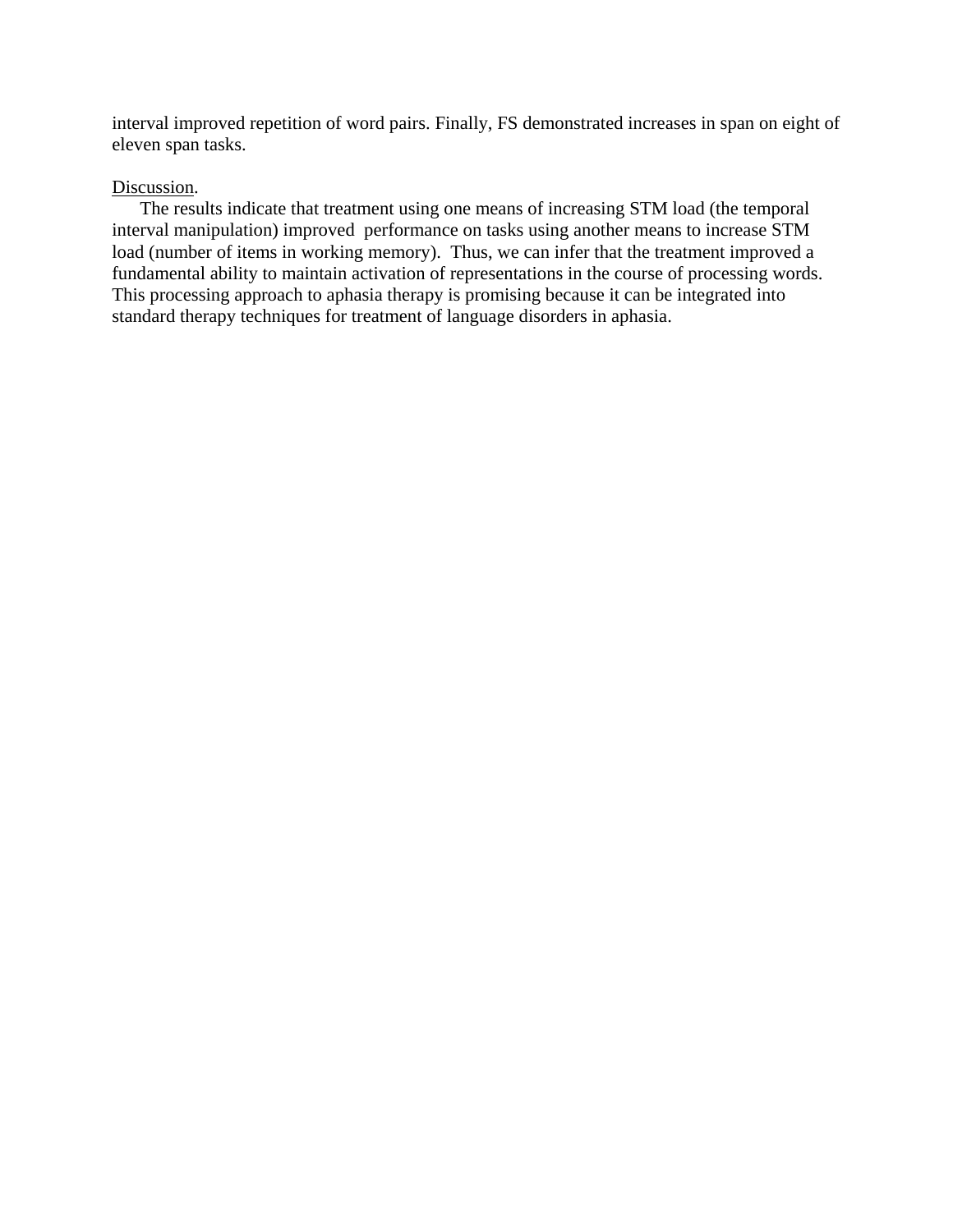interval improved repetition of word pairs. Finally, FS demonstrated increases in span on eight of eleven span tasks.

#### Discussion.

The results indicate that treatment using one means of increasing STM load (the temporal interval manipulation) improved performance on tasks using another means to increase STM load (number of items in working memory). Thus, we can infer that the treatment improved a fundamental ability to maintain activation of representations in the course of processing words. This processing approach to aphasia therapy is promising because it can be integrated into standard therapy techniques for treatment of language disorders in aphasia.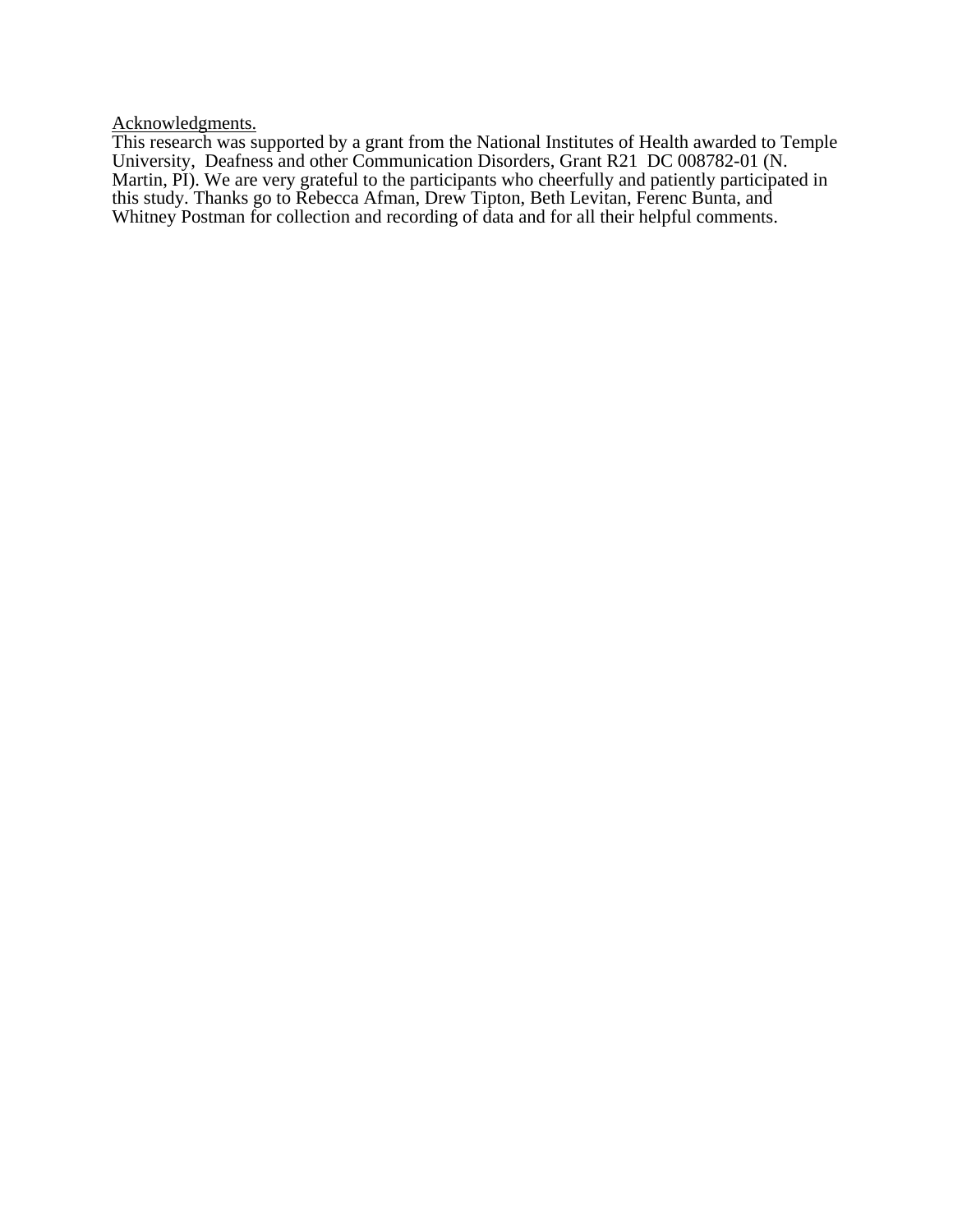Acknowledgments.

This research was supported by a grant from the National Institutes of Health awarded to Temple University, Deafness and other Communication Disorders, Grant R21 DC 008782-01 (N. Martin, PI). We are very grateful to the participants who cheerfully and patiently participated in this study. Thanks go to Rebecca Afman, Drew Tipton, Beth Levitan, Ferenc Bunta, and Whitney Postman for collection and recording of data and for all their helpful comments.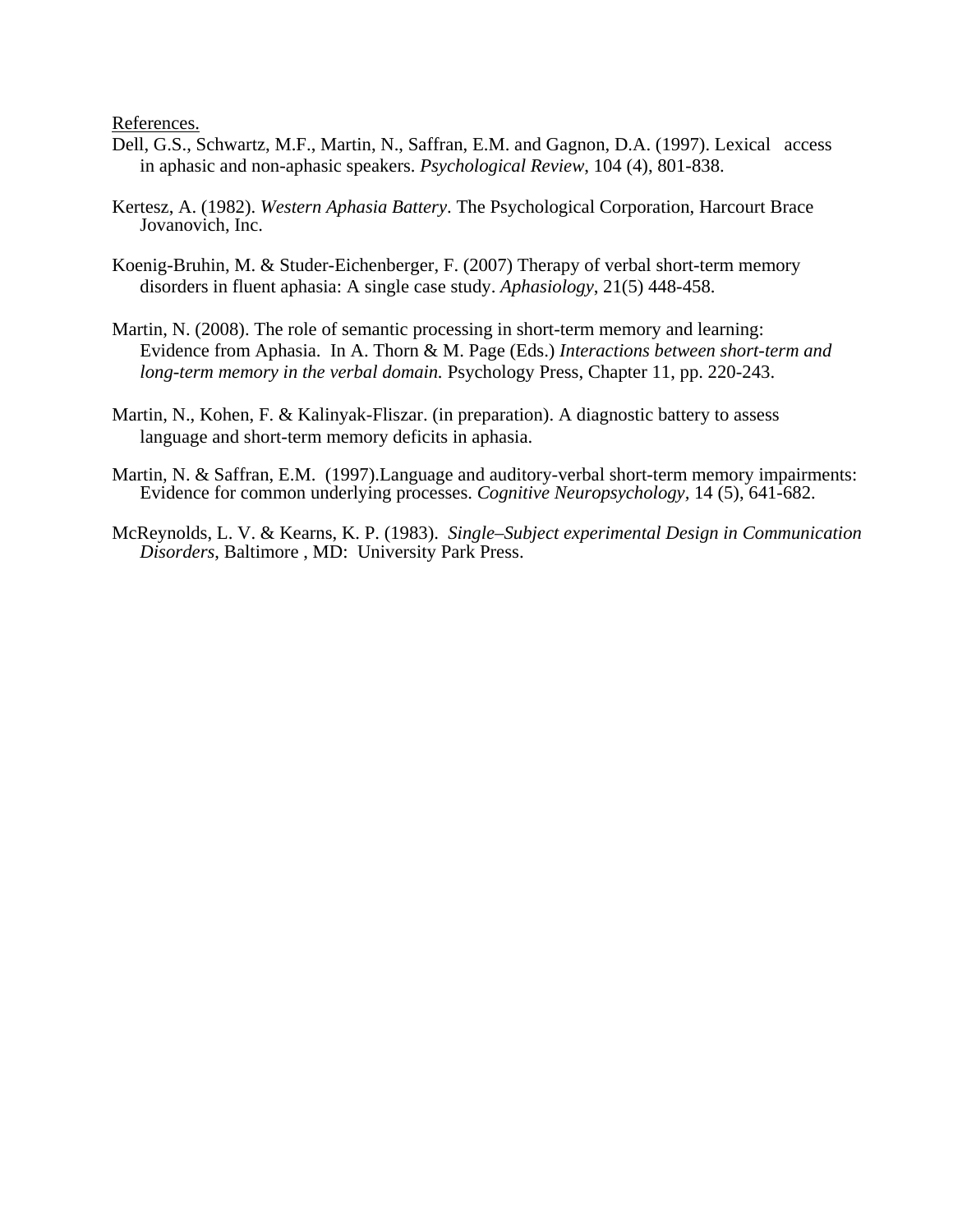References.

- Dell, G.S., Schwartz, M.F., Martin, N., Saffran, E.M. and Gagnon, D.A. (1997). Lexical access in aphasic and non-aphasic speakers. *Psychological Review*, 104 (4), 801-838.
- Kertesz, A. (1982). *Western Aphasia Battery*. The Psychological Corporation, Harcourt Brace Jovanovich, Inc.
- Koenig-Bruhin, M. & Studer-Eichenberger, F. (2007) Therapy of verbal short-term memory disorders in fluent aphasia: A single case study. *Aphasiology*, 21(5) 448-458.
- Martin, N. (2008). The role of semantic processing in short-term memory and learning: Evidence from Aphasia. In A. Thorn & M. Page (Eds.) *Interactions between short-term and long-term memory in the verbal domain.* Psychology Press, Chapter 11, pp. 220-243.
- Martin, N., Kohen, F. & Kalinyak-Fliszar. (in preparation). A diagnostic battery to assess language and short-term memory deficits in aphasia.
- Martin, N. & Saffran, E.M. (1997).Language and auditory-verbal short-term memory impairments: Evidence for common underlying processes. *Cognitive Neuropsychology,* 14 (5), 641-682.
- McReynolds, L. V. & Kearns, K. P. (1983). *Single–Subject experimental Design in Communication Disorders*, Baltimore , MD: University Park Press.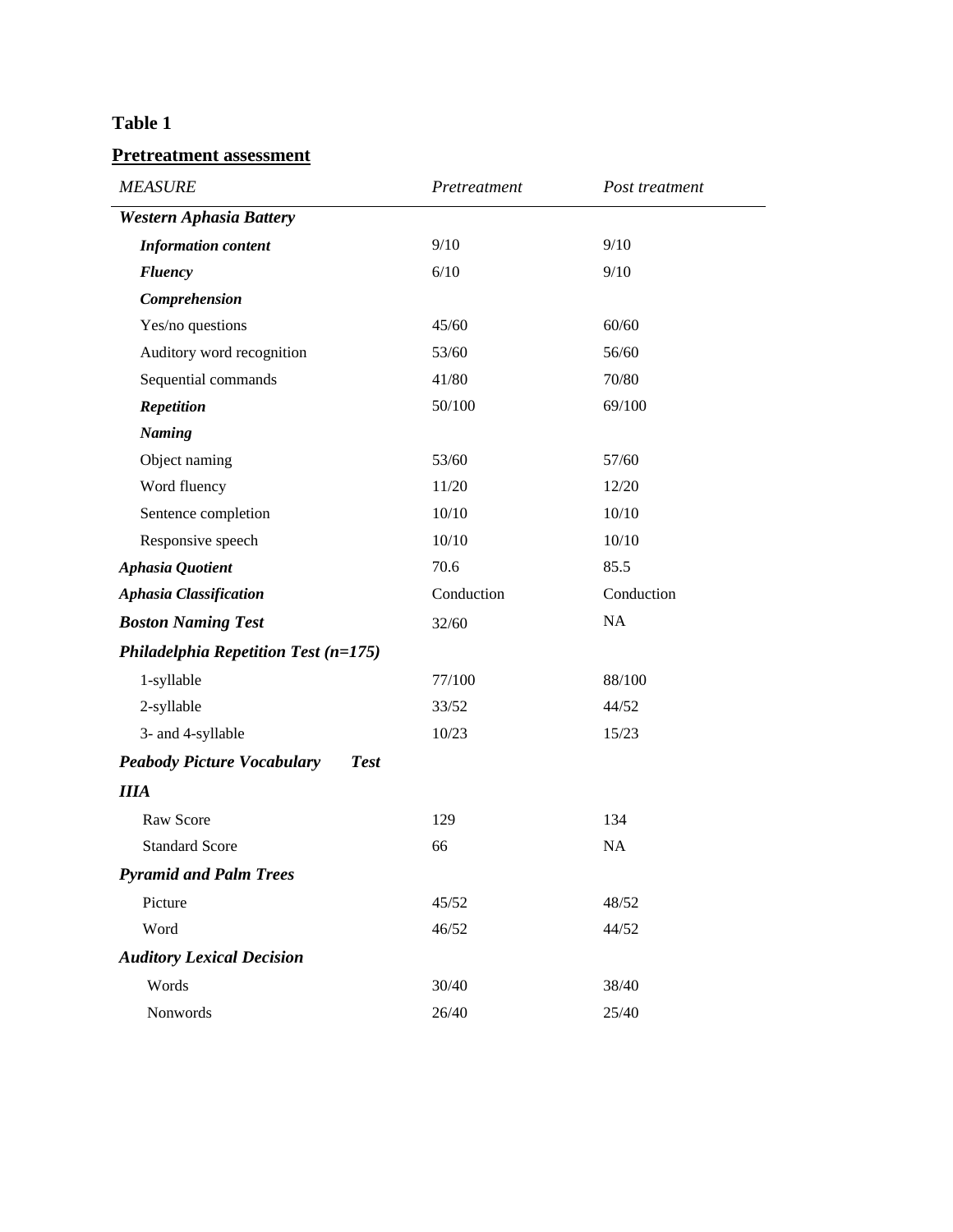## **Table 1**

### **Pretreatment assessment**

| <b>MEASURE</b>                                   | Pretreatment | Post treatment |
|--------------------------------------------------|--------------|----------------|
| <b>Western Aphasia Battery</b>                   |              |                |
| <b>Information content</b>                       | 9/10         | 9/10           |
| <b>Fluency</b>                                   | 6/10         | 9/10           |
| Comprehension                                    |              |                |
| Yes/no questions                                 | 45/60        | 60/60          |
| Auditory word recognition                        | 53/60        | 56/60          |
| Sequential commands                              | 41/80        | 70/80          |
| <b>Repetition</b>                                | 50/100       | 69/100         |
| <b>Naming</b>                                    |              |                |
| Object naming                                    | 53/60        | 57/60          |
| Word fluency                                     | 11/20        | 12/20          |
| Sentence completion                              | 10/10        | 10/10          |
| Responsive speech                                | 10/10        | 10/10          |
| Aphasia Quotient                                 | 70.6         | 85.5           |
| <b>Aphasia Classification</b>                    | Conduction   | Conduction     |
| <b>Boston Naming Test</b>                        | 32/60        | NA             |
| Philadelphia Repetition Test $(n=175)$           |              |                |
| 1-syllable                                       | 77/100       | 88/100         |
| 2-syllable                                       | 33/52        | 44/52          |
| 3- and 4-syllable                                | 10/23        | 15/23          |
| <b>Peabody Picture Vocabulary</b><br><b>Test</b> |              |                |
| <b>IIIA</b>                                      |              |                |
| Raw Score                                        | 129          | 134            |
| <b>Standard Score</b>                            | 66           | NA             |
| <b>Pyramid and Palm Trees</b>                    |              |                |
| Picture                                          | 45/52        | 48/52          |
| Word                                             | 46/52        | 44/52          |
| <b>Auditory Lexical Decision</b>                 |              |                |
| Words                                            | 30/40        | 38/40          |
| Nonwords                                         | 26/40        | 25/40          |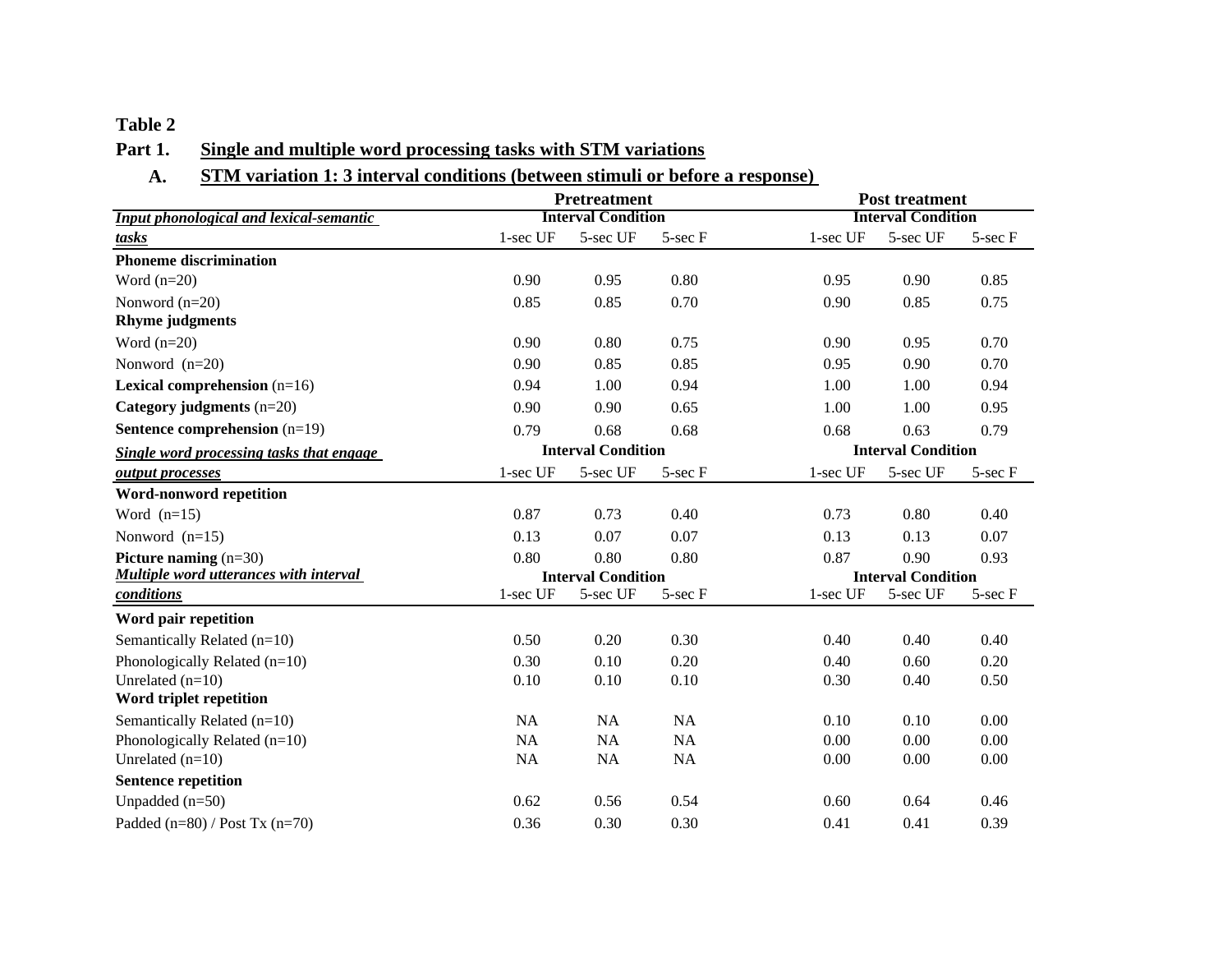#### **Table 2**

### **Part 1. Single and multiple word processing tasks with STM variations**

### **A. STM variation 1: 3 interval conditions (between stimuli or before a response)**

|                                               |                           | <b>Pretreatment</b>       | <b>Post treatment</b> |                           |          |              |
|-----------------------------------------------|---------------------------|---------------------------|-----------------------|---------------------------|----------|--------------|
| Input phonological and lexical-semantic       |                           | <b>Interval Condition</b> |                       | <b>Interval Condition</b> |          |              |
| tasks                                         | 1-sec UF                  | 5-sec UF                  | $5$ -sec $F$          | $1$ -sec UF               | 5-sec UF | 5-sec F      |
| <b>Phoneme discrimination</b>                 |                           |                           |                       |                           |          |              |
| Word $(n=20)$                                 | 0.90                      | 0.95                      | 0.80                  | 0.95                      | 0.90     | 0.85         |
| Nonword $(n=20)$                              | 0.85                      | 0.85                      | 0.70                  | 0.90                      | 0.85     | 0.75         |
| <b>Rhyme</b> judgments                        |                           |                           |                       |                           |          |              |
| Word $(n=20)$                                 | 0.90                      | 0.80                      | 0.75                  | 0.90                      | 0.95     | 0.70         |
| Nonword $(n=20)$                              | 0.90                      | 0.85                      | 0.85                  | 0.95                      | 0.90     | 0.70         |
| Lexical comprehension $(n=16)$                | 0.94                      | 1.00                      | 0.94                  | 1.00                      | 1.00     | 0.94         |
| Category judgments $(n=20)$                   | 0.90                      | 0.90                      | 0.65                  | 1.00                      | 1.00     | 0.95         |
| Sentence comprehension $(n=19)$               | 0.79                      | 0.68                      | 0.68                  | 0.68                      | 0.63     | 0.79         |
| Single word processing tasks that engage      | <b>Interval Condition</b> |                           |                       | <b>Interval Condition</b> |          |              |
| output processes                              | 1-sec UF                  | 5-sec UF                  | $5$ -sec $F$          | 1-sec UF                  | 5-sec UF | 5-sec F      |
| Word-nonword repetition                       |                           |                           |                       |                           |          |              |
| Word $(n=15)$                                 | 0.87                      | 0.73                      | 0.40                  | 0.73                      | 0.80     | 0.40         |
| Nonword $(n=15)$                              | 0.13                      | 0.07                      | 0.07                  | 0.13                      | 0.13     | 0.07         |
| Picture naming $(n=30)$                       | 0.80                      | 0.80                      | 0.80                  | 0.87                      | 0.90     | 0.93         |
| <b>Multiple word utterances with interval</b> |                           | <b>Interval Condition</b> |                       | <b>Interval Condition</b> |          |              |
| <i>conditions</i>                             | 1-sec UF                  | 5-sec UF                  | $5$ -sec $F$          | 1-sec UF                  | 5-sec UF | $5$ -sec $F$ |
| Word pair repetition                          |                           |                           |                       |                           |          |              |
| Semantically Related (n=10)                   | 0.50                      | 0.20                      | 0.30                  | 0.40                      | 0.40     | 0.40         |
| Phonologically Related (n=10)                 | 0.30                      | 0.10                      | 0.20                  | 0.40                      | 0.60     | 0.20         |
| Unrelated $(n=10)$                            | 0.10                      | 0.10                      | 0.10                  | 0.30                      | 0.40     | 0.50         |
| Word triplet repetition                       |                           |                           |                       |                           |          |              |
| Semantically Related (n=10)                   | NA                        | NA                        | <b>NA</b>             | 0.10                      | 0.10     | 0.00         |
| Phonologically Related (n=10)                 | <b>NA</b>                 | NA                        | NA                    | 0.00                      | 0.00     | 0.00         |
| Unrelated $(n=10)$                            | NA                        | NA                        | NA                    | 0.00                      | 0.00     | 0.00         |
| <b>Sentence repetition</b>                    |                           |                           |                       |                           |          |              |
| Unpadded $(n=50)$                             | 0.62                      | 0.56                      | 0.54                  | 0.60                      | 0.64     | 0.46         |
| Padded $(n=80)$ / Post Tx $(n=70)$            | 0.36                      | 0.30                      | 0.30                  | 0.41                      | 0.41     | 0.39         |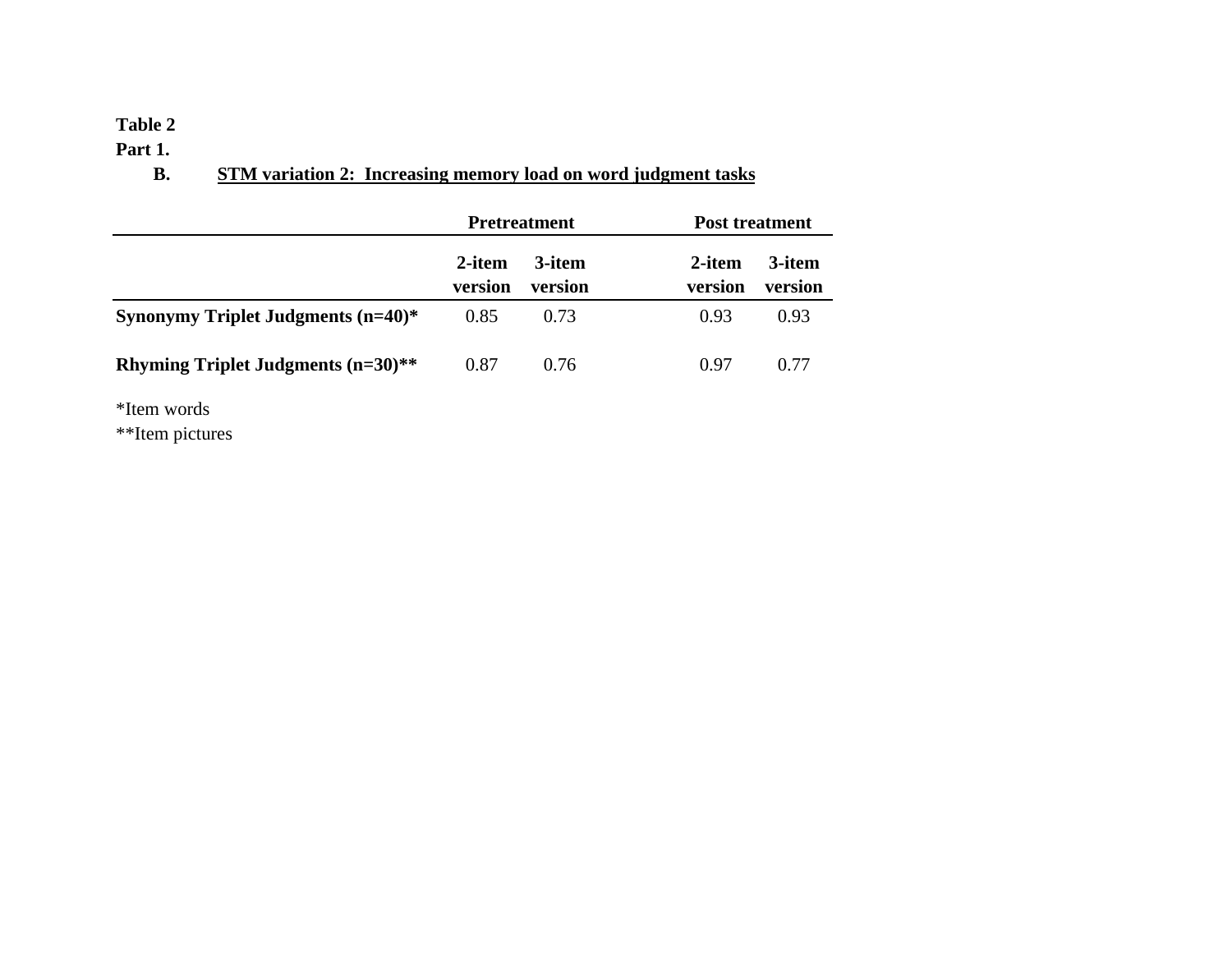#### **Table 2**

**Part 1.**

# **B. STM variation 2: Increasing memory load on word judgment tasks**

|                                       |                   | <b>Pretreatment</b> | <b>Post treatment</b>                  |
|---------------------------------------|-------------------|---------------------|----------------------------------------|
|                                       | 2-item<br>version | 3-item<br>version   | 3-item<br>2-item<br>version<br>version |
| Synonymy Triplet Judgments $(n=40)$ * | 0.85              | 0.73                | 0.93<br>0.93                           |
| Rhyming Triplet Judgments $(n=30)$ ** | 0.87              | 0.76                | 0.77<br>0.97                           |

\*Item words

\*\*Item pictures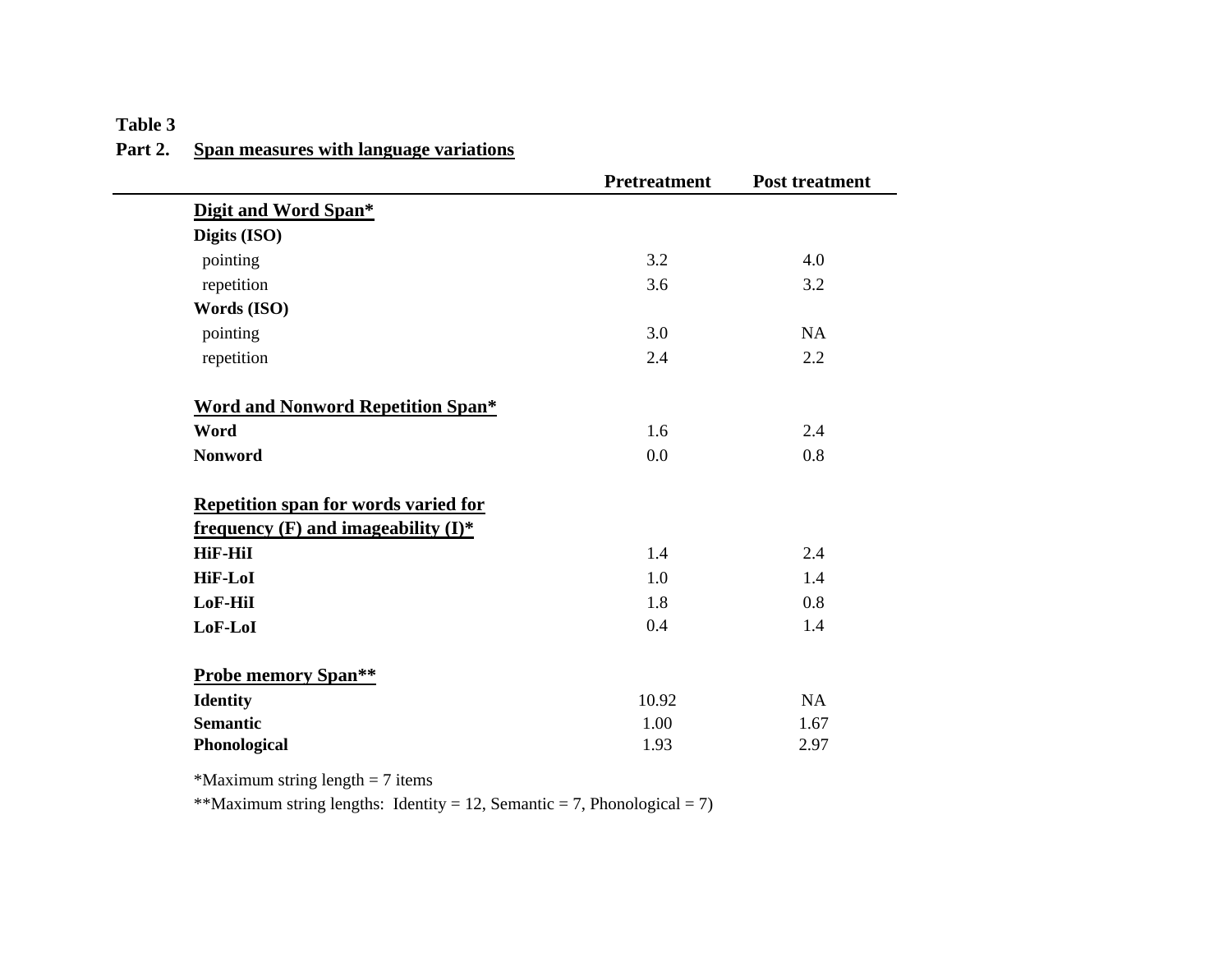### **Table 3 Part 2. Span measures with language variations**

|                                             | <b>Pretreatment</b> | <b>Post treatment</b> |
|---------------------------------------------|---------------------|-----------------------|
| Digit and Word Span*                        |                     |                       |
| Digits (ISO)                                |                     |                       |
| pointing                                    | 3.2                 | 4.0                   |
| repetition                                  | 3.6                 | 3.2                   |
| Words (ISO)                                 |                     |                       |
| pointing                                    | 3.0                 | <b>NA</b>             |
| repetition                                  | 2.4                 | 2.2                   |
| <b>Word and Nonword Repetition Span*</b>    |                     |                       |
| Word                                        | 1.6                 | 2.4                   |
| <b>Nonword</b>                              | 0.0                 | 0.8                   |
| <b>Repetition span for words varied for</b> |                     |                       |
| frequency $(F)$ and imageability $(I)^*$    |                     |                       |
| <b>HiF-HiI</b>                              | 1.4                 | 2.4                   |
| <b>HiF-LoI</b>                              | 1.0                 | 1.4                   |
| LoF-HiI                                     | 1.8                 | 0.8                   |
| LoF-LoI                                     | 0.4                 | 1.4                   |
| <b>Probe memory Span**</b>                  |                     |                       |
| <b>Identity</b>                             | 10.92               | NA                    |
| <b>Semantic</b>                             |                     |                       |
|                                             | 1.00                | 1.67                  |

\*Maximum string length  $= 7$  items

\*\*Maximum string lengths: Identity = 12, Semantic = 7, Phonological = 7)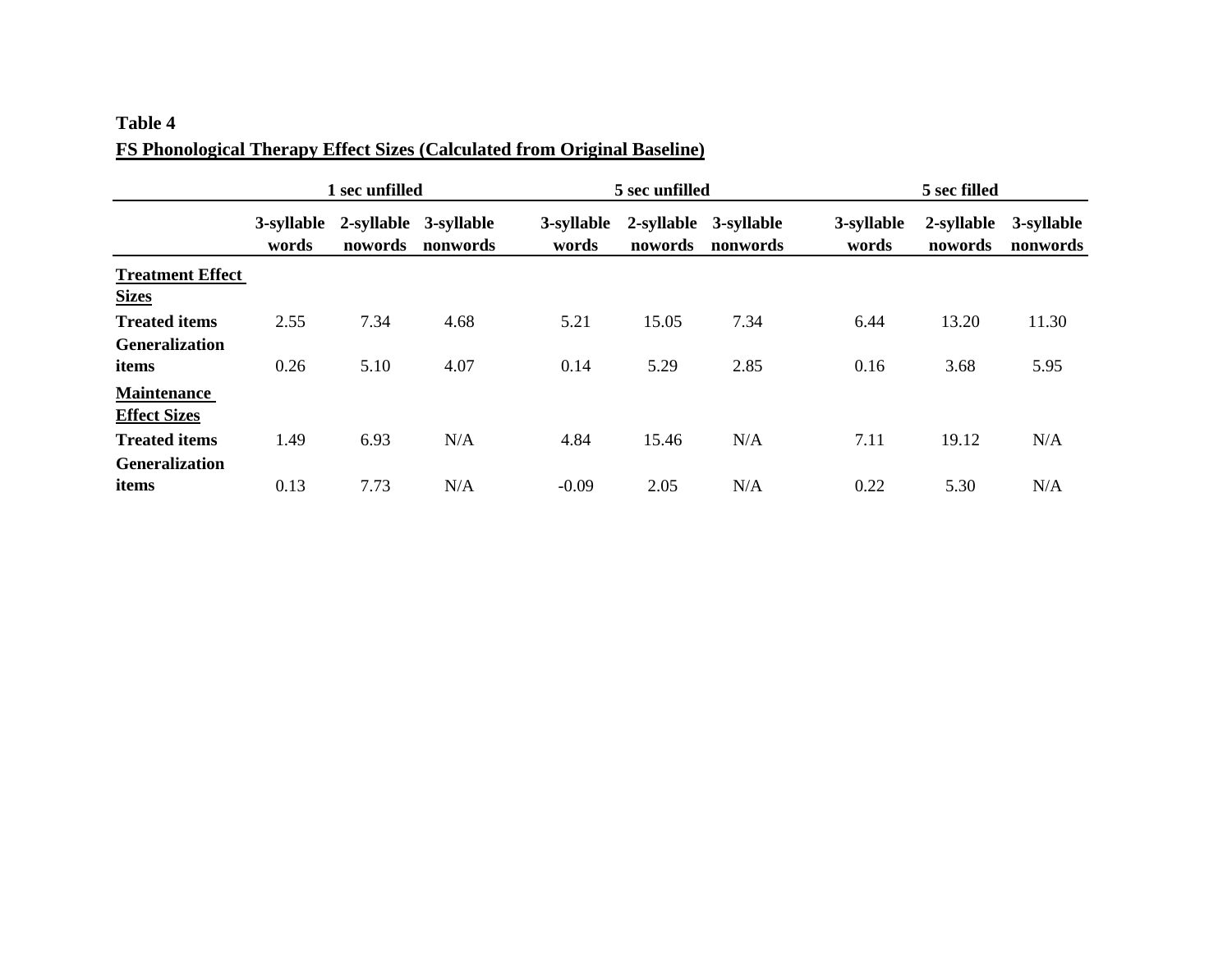### **Table 4 FS Phonological Therapy Effect Sizes (Calculated from Original Baseline)**

|                         | 1 sec unfilled      |         |                                   | 5 sec unfilled      |         |                                   | 5 sec filled        |                       |                        |
|-------------------------|---------------------|---------|-----------------------------------|---------------------|---------|-----------------------------------|---------------------|-----------------------|------------------------|
|                         | 3-syllable<br>words | nowords | 2-syllable 3-syllable<br>nonwords | 3-syllable<br>words | nowords | 2-syllable 3-syllable<br>nonwords | 3-syllable<br>words | 2-syllable<br>nowords | 3-syllable<br>nonwords |
| <b>Treatment Effect</b> |                     |         |                                   |                     |         |                                   |                     |                       |                        |
| <b>Sizes</b>            |                     |         |                                   |                     |         |                                   |                     |                       |                        |
| <b>Treated items</b>    | 2.55                | 7.34    | 4.68                              | 5.21                | 15.05   | 7.34                              | 6.44                | 13.20                 | 11.30                  |
| <b>Generalization</b>   |                     |         |                                   |                     |         |                                   |                     |                       |                        |
| items                   | 0.26                | 5.10    | 4.07                              | 0.14                | 5.29    | 2.85                              | 0.16                | 3.68                  | 5.95                   |
| <b>Maintenance</b>      |                     |         |                                   |                     |         |                                   |                     |                       |                        |
| <b>Effect Sizes</b>     |                     |         |                                   |                     |         |                                   |                     |                       |                        |
| <b>Treated items</b>    | 1.49                | 6.93    | N/A                               | 4.84                | 15.46   | N/A                               | 7.11                | 19.12                 | N/A                    |
| <b>Generalization</b>   |                     |         |                                   |                     |         |                                   |                     |                       |                        |
| items                   | 0.13                | 7.73    | N/A                               | $-0.09$             | 2.05    | N/A                               | 0.22                | 5.30                  | N/A                    |